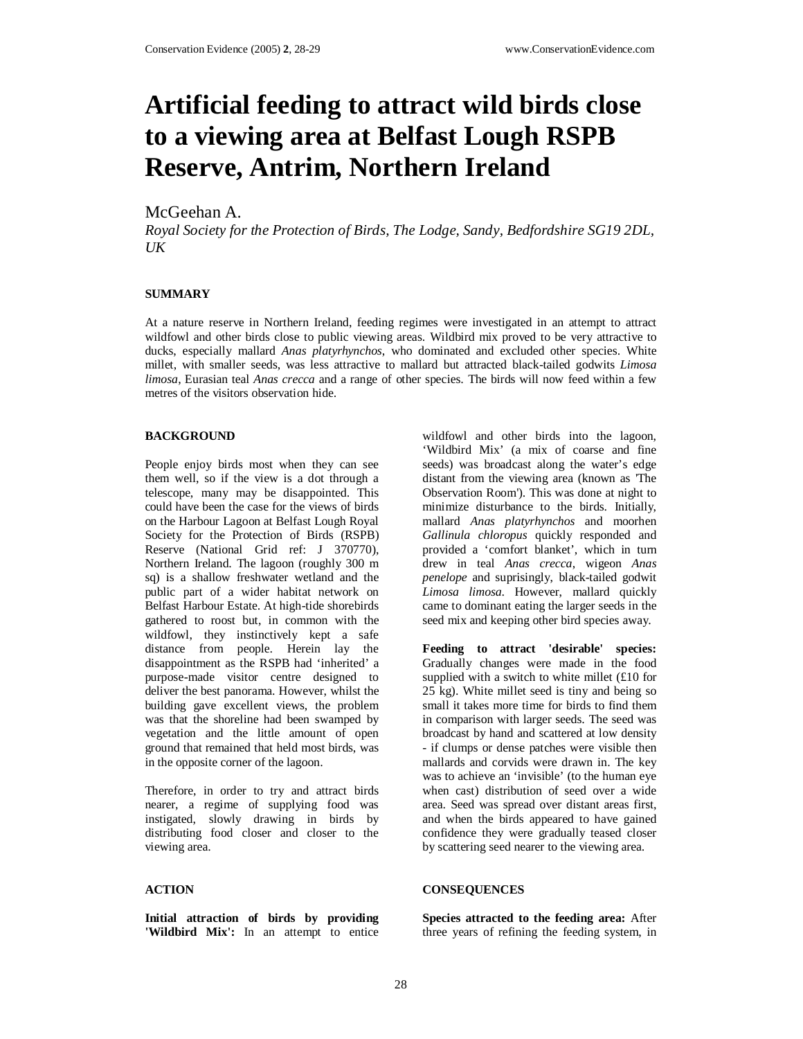# **Artificial feeding to attract wild birds close to a viewing area at Belfast Lough RSPB Reserve, Antrim, Northern Ireland**

# McGeehan A.

*Royal Society for the Protection of Birds, The Lodge, Sandy, Bedfordshire SG19 2DL,*   $U/K$ 

### **SUMMARY**

At a nature reserve in Northern Ireland, feeding regimes were investigated in an attempt to attract wildfowl and other birds close to public viewing areas. Wildbird mix proved to be very attractive to ducks, especially mallard *Anas platyrhynchos*, who dominated and excluded other species. White millet, with smaller seeds, was less attractive to mallard but attracted black-tailed godwits *Limosa limosa*, Eurasian teal *Anas crecca* and a range of other species. The birds will now feed within a few metres of the visitors observation hide.

#### **BACKGROUND**

People enjoy birds most when they can see them well, so if the view is a dot through a telescope, many may be disappointed. This could have been the case for the views of birds on the Harbour Lagoon at Belfast Lough Royal Society for the Protection of Birds (RSPB) Reserve (National Grid ref: J 370770), Northern Ireland. The lagoon (roughly 300 m sq) is a shallow freshwater wetland and the public part of a wider habitat network on Belfast Harbour Estate. At high-tide shorebirds gathered to roost but, in common with the wildfowl, they instinctively kept a safe distance from people. Herein lay the disappointment as the RSPB had 'inherited' a purpose-made visitor centre designed to deliver the best panorama. However, whilst the building gave excellent views, the problem was that the shoreline had been swamped by vegetation and the little amount of open ground that remained that held most birds, was in the opposite corner of the lagoon.

Therefore, in order to try and attract birds nearer, a regime of supplying food was instigated, slowly drawing in birds by distributing food closer and closer to the viewing area.

#### **ACTION**

**Initial attraction of birds by providing 'Wildbird Mix':** In an attempt to entice

wildfowl and other birds into the lagoon, 'Wildbird Mix' (a mix of coarse and fine seeds) was broadcast along the water's edge distant from the viewing area (known as 'The Observation Room'). This was done at night to minimize disturbance to the birds. Initially, mallard *Anas platyrhynchos* and moorhen *Gallinula chloropus* quickly responded and provided a 'comfort blanket', which in turn drew in teal *Anas crecca*, wigeon *Anas penelope* and suprisingly, black-tailed godwit *Limosa limosa*. However, mallard quickly came to dominant eating the larger seeds in the seed mix and keeping other bird species away.

**Feeding to attract 'desirable' species:** Gradually changes were made in the food supplied with a switch to white millet (£10 for 25 kg). White millet seed is tiny and being so small it takes more time for birds to find them in comparison with larger seeds. The seed was broadcast by hand and scattered at low density - if clumps or dense patches were visible then mallards and corvids were drawn in. The key was to achieve an 'invisible' (to the human eye when cast) distribution of seed over a wide area. Seed was spread over distant areas first, and when the birds appeared to have gained confidence they were gradually teased closer by scattering seed nearer to the viewing area.

## **CONSEQUENCES**

**Species attracted to the feeding area:** After three years of refining the feeding system, in